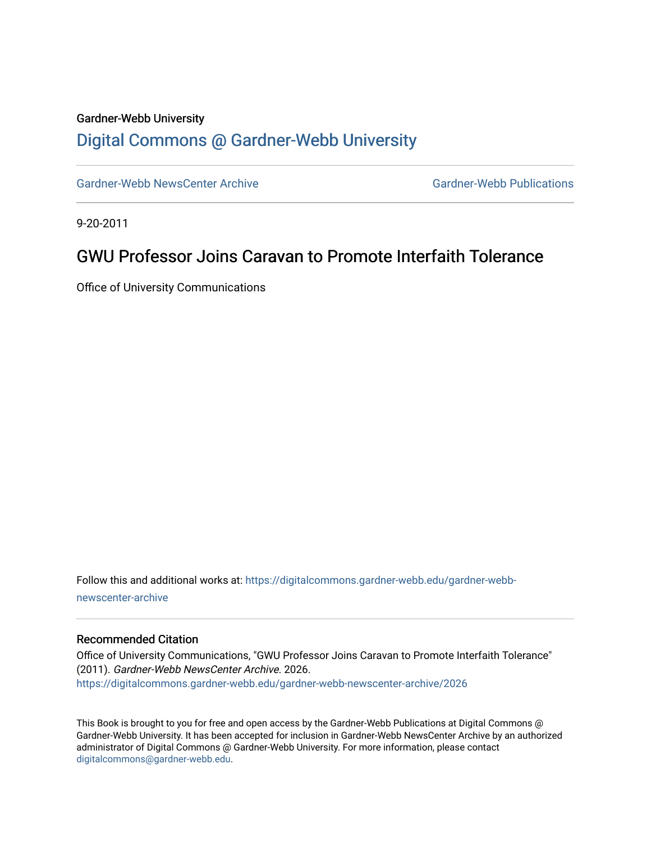## Gardner-Webb University

#### [Digital Commons @ Gardner-Webb University](https://digitalcommons.gardner-webb.edu/)

[Gardner-Webb NewsCenter Archive](https://digitalcommons.gardner-webb.edu/gardner-webb-newscenter-archive) Gardner-Webb Publications

9-20-2011

### GWU Professor Joins Caravan to Promote Interfaith Tolerance

Office of University Communications

Follow this and additional works at: [https://digitalcommons.gardner-webb.edu/gardner-webb](https://digitalcommons.gardner-webb.edu/gardner-webb-newscenter-archive?utm_source=digitalcommons.gardner-webb.edu%2Fgardner-webb-newscenter-archive%2F2026&utm_medium=PDF&utm_campaign=PDFCoverPages)[newscenter-archive](https://digitalcommons.gardner-webb.edu/gardner-webb-newscenter-archive?utm_source=digitalcommons.gardner-webb.edu%2Fgardner-webb-newscenter-archive%2F2026&utm_medium=PDF&utm_campaign=PDFCoverPages)

#### Recommended Citation

Office of University Communications, "GWU Professor Joins Caravan to Promote Interfaith Tolerance" (2011). Gardner-Webb NewsCenter Archive. 2026. [https://digitalcommons.gardner-webb.edu/gardner-webb-newscenter-archive/2026](https://digitalcommons.gardner-webb.edu/gardner-webb-newscenter-archive/2026?utm_source=digitalcommons.gardner-webb.edu%2Fgardner-webb-newscenter-archive%2F2026&utm_medium=PDF&utm_campaign=PDFCoverPages) 

This Book is brought to you for free and open access by the Gardner-Webb Publications at Digital Commons @ Gardner-Webb University. It has been accepted for inclusion in Gardner-Webb NewsCenter Archive by an authorized administrator of Digital Commons @ Gardner-Webb University. For more information, please contact [digitalcommons@gardner-webb.edu](mailto:digitalcommons@gardner-webb.edu).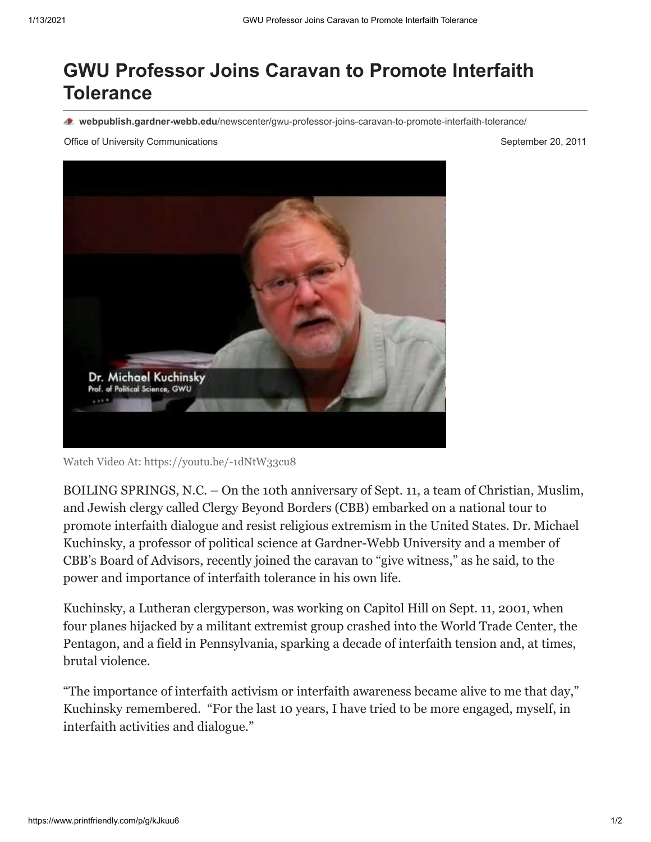# **GWU Professor Joins Caravan to Promote Interfaith Tolerance**

**webpublish.gardner-webb.edu**[/newscenter/gwu-professor-joins-caravan-to-promote-interfaith-tolerance/](https://webpublish.gardner-webb.edu/newscenter/gwu-professor-joins-caravan-to-promote-interfaith-tolerance/)

Office of University Communications **September 20, 2011** 



Watch Video [At: https://youtu.be/-1dNtW33cu8](https://youtu.be/-1dNtW33cu8)

BOILING SPRINGS, N.C. – On the 10th anniversary of Sept. 11, a team of Christian, Muslim, and Jewish clergy called Clergy Beyond Borders (CBB) embarked on a national tour to promote interfaith dialogue and resist religious extremism in the United States. Dr. Michael Kuchinsky, a professor of political science at Gardner-Webb University and a member of CBB's Board of Advisors, recently joined the caravan to "give witness," as he said, to the power and importance of interfaith tolerance in his own life.

Kuchinsky, a Lutheran clergyperson, was working on Capitol Hill on Sept. 11, 2001, when four planes hijacked by a militant extremist group crashed into the World Trade Center, the Pentagon, and a field in Pennsylvania, sparking a decade of interfaith tension and, at times, brutal violence.

"The importance of interfaith activism or interfaith awareness became alive to me that day," Kuchinsky remembered. "For the last 10 years, I have tried to be more engaged, myself, in interfaith activities and dialogue."